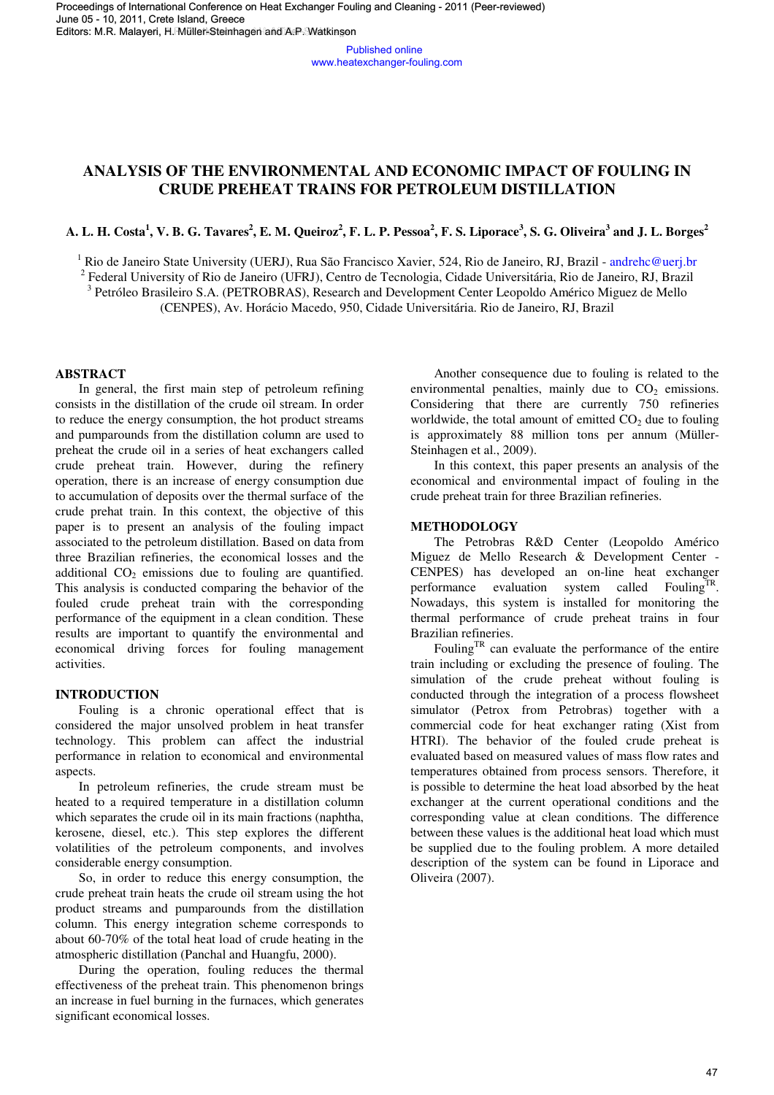Published online www.heatexchanger-fouling.com

# **ANALYSIS OF THE ENVIRONMENTAL AND ECONOMIC IMPACT OF FOULING IN CRUDE PREHEAT TRAINS FOR PETROLEUM DISTILLATION**

**A. L. H. Costa<sup>1</sup> , V. B. G. Tavares<sup>2</sup> , E. M. Queiroz<sup>2</sup> , F. L. P. Pessoa<sup>2</sup> , F. S. Liporace<sup>3</sup> , S. G. Oliveira<sup>3</sup> and J. L. Borges<sup>2</sup>**

<sup>1</sup> Rio de Janeiro State University (UERJ), Rua São Francisco Xavier, 524, Rio de Janeiro, RJ, Brazil - andrehc@uerj.br

<sup>2</sup> Federal University of Rio de Janeiro (UFRJ), Centro de Tecnologia, Cidade Universitária, Rio de Janeiro, RJ, Brazil <sup>3</sup> Petróleo Brasileiro S.A. (PETROBRAS), Research and Development Center Leopoldo Américo Miguez de Mello

(CENPES), Av. Horácio Macedo, 950, Cidade Universitária. Rio de Janeiro, RJ, Brazil

### **ABSTRACT**

 In general, the first main step of petroleum refining consists in the distillation of the crude oil stream. In order to reduce the energy consumption, the hot product streams and pumparounds from the distillation column are used to preheat the crude oil in a series of heat exchangers called crude preheat train. However, during the refinery operation, there is an increase of energy consumption due to accumulation of deposits over the thermal surface of the crude prehat train. In this context, the objective of this paper is to present an analysis of the fouling impact associated to the petroleum distillation. Based on data from three Brazilian refineries, the economical losses and the additional  $CO<sub>2</sub>$  emissions due to fouling are quantified. This analysis is conducted comparing the behavior of the fouled crude preheat train with the corresponding performance of the equipment in a clean condition. These results are important to quantify the environmental and economical driving forces for fouling management activities.

### **INTRODUCTION**

 Fouling is a chronic operational effect that is considered the major unsolved problem in heat transfer technology. This problem can affect the industrial performance in relation to economical and environmental aspects.

In petroleum refineries, the crude stream must be heated to a required temperature in a distillation column which separates the crude oil in its main fractions (naphtha, kerosene, diesel, etc.). This step explores the different volatilities of the petroleum components, and involves considerable energy consumption.

So, in order to reduce this energy consumption, the crude preheat train heats the crude oil stream using the hot product streams and pumparounds from the distillation column. This energy integration scheme corresponds to about 60-70% of the total heat load of crude heating in the atmospheric distillation (Panchal and Huangfu, 2000).

During the operation, fouling reduces the thermal effectiveness of the preheat train. This phenomenon brings an increase in fuel burning in the furnaces, which generates significant economical losses.

Another consequence due to fouling is related to the environmental penalties, mainly due to  $CO<sub>2</sub>$  emissions. Considering that there are currently 750 refineries worldwide, the total amount of emitted  $CO<sub>2</sub>$  due to fouling is approximately 88 million tons per annum (Müller-Steinhagen et al., 2009).

In this context, this paper presents an analysis of the economical and environmental impact of fouling in the crude preheat train for three Brazilian refineries.

## **METHODOLOGY**

The Petrobras R&D Center (Leopoldo Américo Miguez de Mello Research & Development Center - CENPES) has developed an on-line heat exchanger performance evaluation system called Fouling<sup>TR</sup>. Nowadays, this system is installed for monitoring the thermal performance of crude preheat trains in four Brazilian refineries.

Fouling<sup>TR</sup> can evaluate the performance of the entire train including or excluding the presence of fouling. The simulation of the crude preheat without fouling is conducted through the integration of a process flowsheet simulator (Petrox from Petrobras) together with a commercial code for heat exchanger rating (Xist from HTRI). The behavior of the fouled crude preheat is evaluated based on measured values of mass flow rates and temperatures obtained from process sensors. Therefore, it is possible to determine the heat load absorbed by the heat exchanger at the current operational conditions and the corresponding value at clean conditions. The difference between these values is the additional heat load which must be supplied due to the fouling problem. A more detailed description of the system can be found in Liporace and Oliveira (2007). 47 H. Müller-Steinhagen and A.P. Watkinson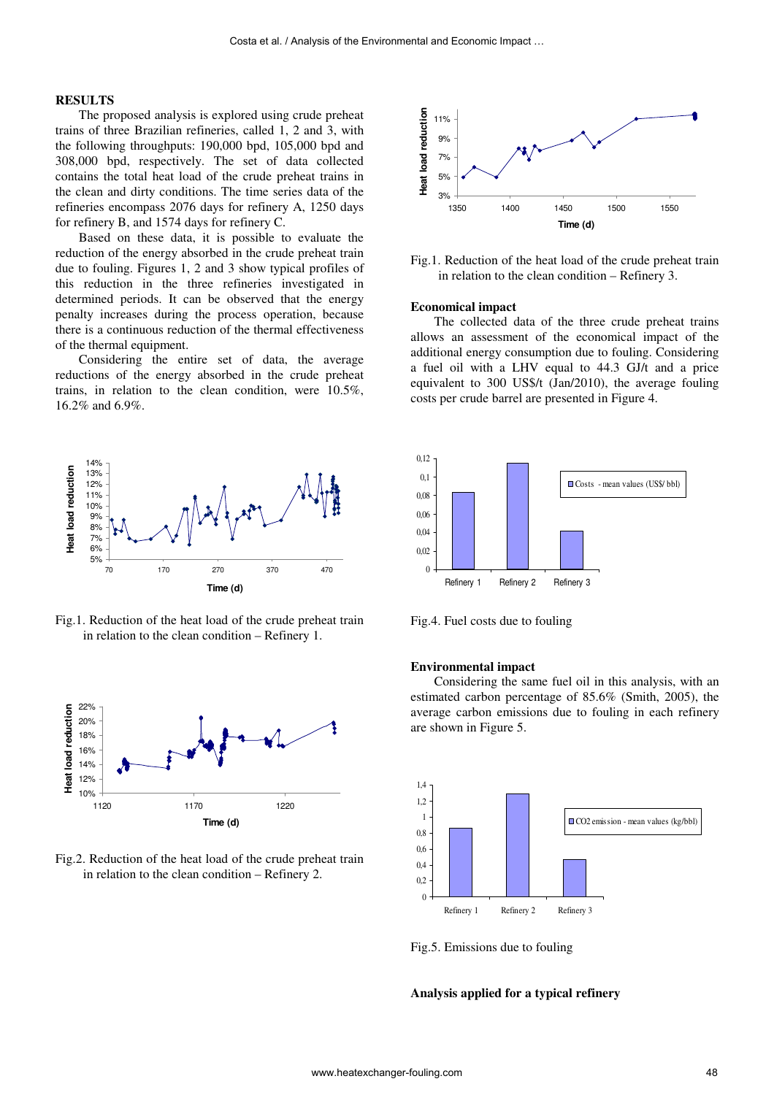#### **RESULTS**

The proposed analysis is explored using crude preheat trains of three Brazilian refineries, called 1, 2 and 3, with the following throughputs: 190,000 bpd, 105,000 bpd and 308,000 bpd, respectively. The set of data collected contains the total heat load of the crude preheat trains in the clean and dirty conditions. The time series data of the refineries encompass 2076 days for refinery A, 1250 days for refinery B, and 1574 days for refinery C.

Based on these data, it is possible to evaluate the reduction of the energy absorbed in the crude preheat train due to fouling. Figures 1, 2 and 3 show typical profiles of this reduction in the three refineries investigated in determined periods. It can be observed that the energy penalty increases during the process operation, because there is a continuous reduction of the thermal effectiveness of the thermal equipment.

Considering the entire set of data, the average reductions of the energy absorbed in the crude preheat trains, in relation to the clean condition, were 10.5%, 16.2% and 6.9%.



Fig.1. Reduction of the heat load of the crude preheat train in relation to the clean condition – Refinery 1.



Fig.2. Reduction of the heat load of the crude preheat train in relation to the clean condition – Refinery 2.



Fig.1. Reduction of the heat load of the crude preheat train in relation to the clean condition – Refinery 3.

#### **Economical impact**

 The collected data of the three crude preheat trains allows an assessment of the economical impact of the additional energy consumption due to fouling. Considering a fuel oil with a LHV equal to 44.3 GJ/t and a price equivalent to 300 US\$/t (Jan/2010), the average fouling costs per crude barrel are presented in Figure 4.



Fig.4. Fuel costs due to fouling

#### **Environmental impact**

 Considering the same fuel oil in this analysis, with an estimated carbon percentage of 85.6% (Smith, 2005), the average carbon emissions due to fouling in each refinery are shown in Figure 5.



Fig.5. Emissions due to fouling

**Analysis applied for a typical refinery**